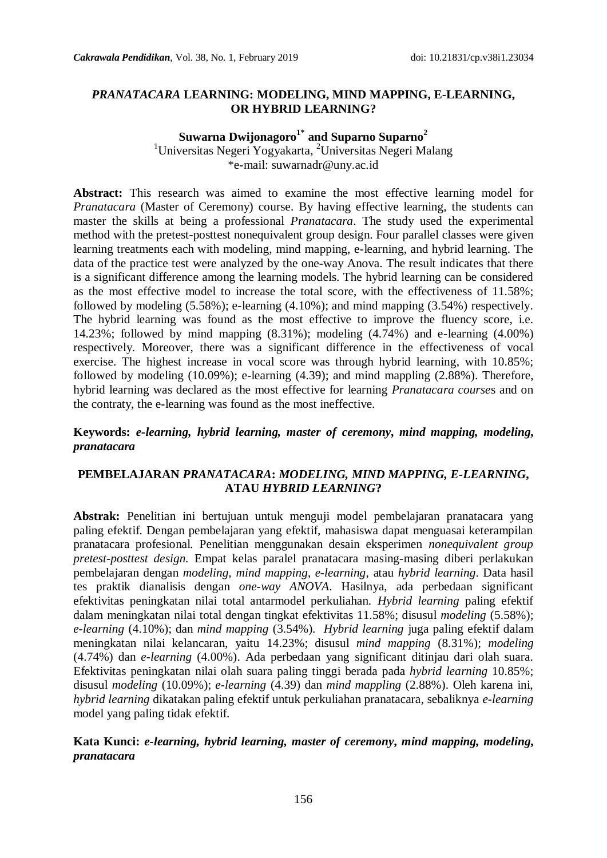## *PRANATACARA* **LEARNING: MODELING, MIND MAPPING, E-LEARNING, OR HYBRID LEARNING?**

## **Suwarna Dwijonagoro1\* and Suparno Suparno<sup>2</sup>**

<sup>1</sup>Universitas Negeri Yogyakarta, <sup>2</sup>Universitas Negeri Malang [\\*e-mail: suwarnadr@uny.ac.id](mailto:e-mail:%20suwarnadr@uny.ac.id)

**Abstract:** This research was aimed to examine the most effective learning model for *Pranatacara* (Master of Ceremony) course. By having effective learning, the students can master the skills at being a professional *Pranatacara*. The study used the experimental method with the pretest-posttest nonequivalent group design. Four parallel classes were given learning treatments each with modeling, mind mapping, e-learning, and hybrid learning. The data of the practice test were analyzed by the one-way Anova. The result indicates that there is a significant difference among the learning models. The hybrid learning can be considered as the most effective model to increase the total score, with the effectiveness of 11.58%; followed by modeling (5.58%); e-learning (4.10%); and mind mapping (3.54%) respectively. The hybrid learning was found as the most effective to improve the fluency score, i.e. 14.23%; followed by mind mapping (8.31%); modeling (4.74%) and e-learning (4.00%) respectively. Moreover, there was a significant difference in the effectiveness of vocal exercise. The highest increase in vocal score was through hybrid learning, with 10.85%; followed by modeling (10.09%); e-learning (4.39); and mind mappling (2.88%). Therefore, hybrid learning was declared as the most effective for learning *Pranatacara course*s and on the contraty, the e-learning was found as the most ineffective.

**Keywords:** *e-learning, hybrid learning, master of ceremony***,** *mind mapping, modeling***,** *pranatacara*

## **PEMBELAJARAN** *PRANATACARA***:** *MODELING, MIND MAPPING, E-LEARNING***, ATAU** *HYBRID LEARNING***?**

**Abstrak:** Penelitian ini bertujuan untuk menguji model pembelajaran pranatacara yang paling efektif. Dengan pembelajaran yang efektif, mahasiswa dapat menguasai keterampilan pranatacara profesional. Penelitian menggunakan desain eksperimen *nonequivalent group pretest-posttest design.* Empat kelas paralel pranatacara masing-masing diberi perlakukan pembelajaran dengan *modeling, mind mapping*, *e-learning*, atau *hybrid learning*. Data hasil tes praktik dianalisis dengan *one-way ANOVA*. Hasilnya, ada perbedaan significant efektivitas peningkatan nilai total antarmodel perkuliahan. *Hybrid learning* paling efektif dalam meningkatan nilai total dengan tingkat efektivitas 11.58%; disusul *modeling* (5.58%); *e-learning* (4.10%); dan *mind mapping* (3.54%). *Hybrid learning* juga paling efektif dalam meningkatan nilai kelancaran, yaitu 14.23%; disusul *mind mapping* (8.31%); *modeling*  (4.74%) dan *e-learning* (4.00%). Ada perbedaan yang significant ditinjau dari olah suara. Efektivitas peningkatan nilai olah suara paling tinggi berada pada *hybrid learning* 10.85%; disusul *modeling* (10.09%); *e-learning* (4.39) dan *mind mappling* (2.88%). Oleh karena ini, *hybrid learning* dikatakan paling efektif untuk perkuliahan pranatacara, sebaliknya *e-learning* model yang paling tidak efektif.

## **Kata Kunci:** *e-learning, hybrid learning, master of ceremony***,** *mind mapping, modeling***,** *pranatacara*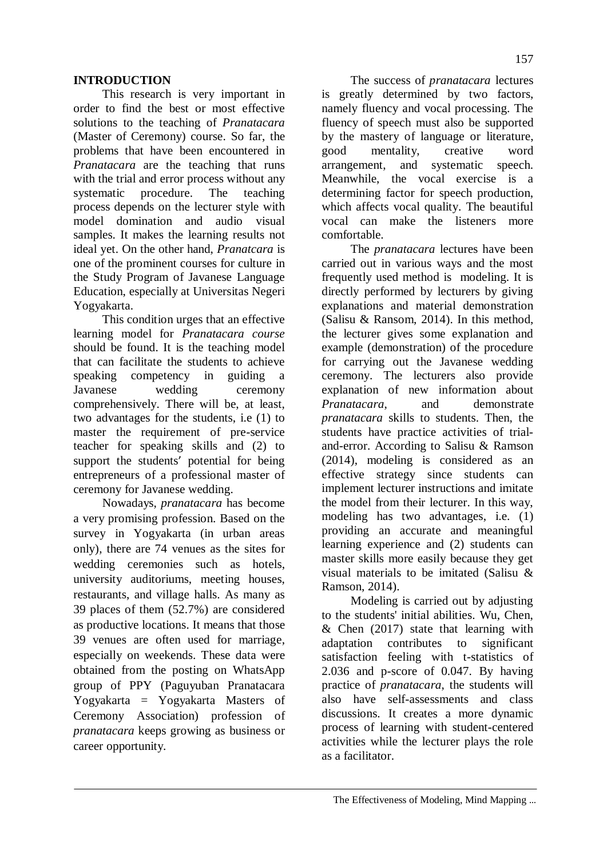## **INTRODUCTION**

This research is very important in order to find the best or most effective solutions to the teaching of *Pranatacara*  (Master of Ceremony) course. So far, the problems that have been encountered in *Pranatacara* are the teaching that runs with the trial and error process without any systematic procedure. The teaching process depends on the lecturer style with model domination and audio visual samples. It makes the learning results not ideal yet. On the other hand, *Pranatcara* is one of the prominent courses for culture in the Study Program of Javanese Language Education, especially at Universitas Negeri Yogyakarta.

This condition urges that an effective learning model for *Pranatacara course* should be found. It is the teaching model that can facilitate the students to achieve speaking competency in guiding a Javanese wedding ceremony comprehensively. There will be, at least, two advantages for the students, i.e (1) to master the requirement of pre-service teacher for speaking skills and (2) to support the students' potential for being entrepreneurs of a professional master of ceremony for Javanese wedding.

Nowadays, *pranatacara* has become a very promising profession. Based on the survey in Yogyakarta (in urban areas only), there are 74 venues as the sites for wedding ceremonies such as hotels, university auditoriums, meeting houses, restaurants, and village halls. As many as 39 places of them (52.7%) are considered as productive locations. It means that those 39 venues are often used for marriage, especially on weekends. These data were obtained from the posting on WhatsApp group of PPY (Paguyuban Pranatacara Yogyakarta = Yogyakarta Masters of Ceremony Association) profession of *pranatacara* keeps growing as business or career opportunity.

The success of *pranatacara* lectures is greatly determined by two factors, namely fluency and vocal processing. The fluency of speech must also be supported by the mastery of language or literature, good mentality, creative word arrangement, and systematic speech. Meanwhile, the vocal exercise is a determining factor for speech production, which affects vocal quality. The beautiful vocal can make the listeners more

comfortable. The *pranatacara* lectures have been carried out in various ways and the most frequently used method is modeling. It is directly performed by lecturers by giving explanations and material demonstration (Salisu  $\&$  Ransom, 2014). In this method, the lecturer gives some explanation and example (demonstration) of the procedure for carrying out the Javanese wedding ceremony. The lecturers also provide explanation of new information about *Pranatacara*, and demonstrate *pranatacara* skills to students. Then, the students have practice activities of trialand-error. According to Salisu & Ramson (2014), modeling is considered as an effective strategy since students can implement lecturer instructions and imitate the model from their lecturer. In this way, modeling has two advantages, i.e. (1) providing an accurate and meaningful learning experience and (2) students can master skills more easily because they get visual materials to be imitated (Salisu & Ramson, 2014).

Modeling is carried out by adjusting to the students' initial abilities. Wu, Chen, & Chen (2017) state that learning with adaptation contributes to significant satisfaction feeling with t-statistics of 2.036 and p-score of 0.047. By having practice of *pranatacara*, the students will also have self-assessments and class discussions. It creates a more dynamic process of learning with student-centered activities while the lecturer plays the role as a facilitator.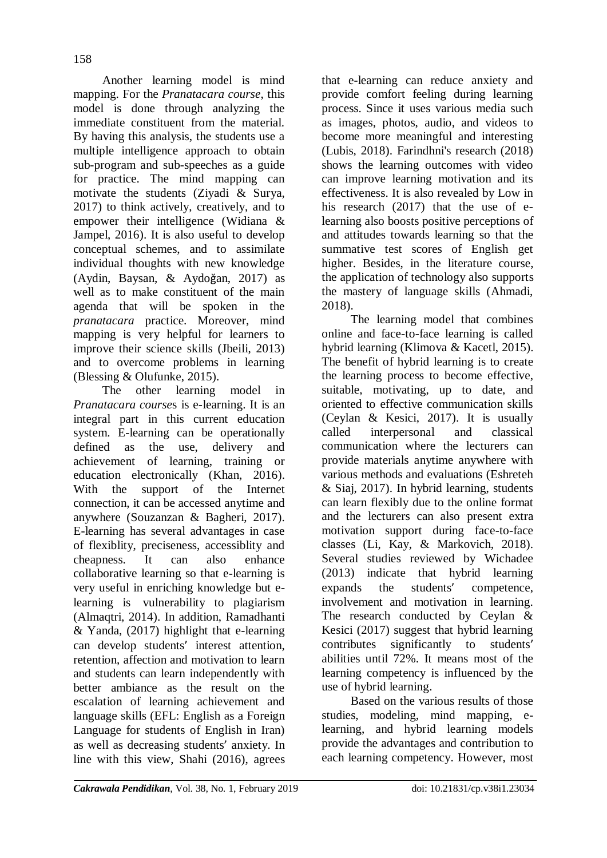Another learning model is mind mapping. For the *Pranatacara course*, this model is done through analyzing the immediate constituent from the material. By having this analysis, the students use a multiple intelligence approach to obtain sub-program and sub-speeches as a guide for practice. The mind mapping can motivate the students (Ziyadi & Surya, 2017) to think actively, creatively, and to empower their intelligence (Widiana & Jampel, 2016). It is also useful to develop conceptual schemes, and to assimilate individual thoughts with new knowledge (Aydin, Baysan, & Aydoğan, 2017) as well as to make constituent of the main agenda that will be spoken in the *pranatacara* practice. Moreover, mind mapping is very helpful for learners to improve their science skills (Jbeili, 2013) and to overcome problems in learning (Blessing & Olufunke, 2015).

The other learning model in *Pranatacara course*s is e-learning. It is an integral part in this current education system. E-learning can be operationally defined as the use, delivery and achievement of learning, training or education electronically (Khan, 2016). With the support of the Internet connection, it can be accessed anytime and anywhere (Souzanzan & Bagheri, 2017). E-learning has several advantages in case of flexiblity, preciseness, accessiblity and cheapness. It can also enhance collaborative learning so that e-learning is very useful in enriching knowledge but elearning is vulnerability to plagiarism (Almaqtri, 2014). In addition, Ramadhanti & Yanda, (2017) highlight that e-learning can develop students' interest attention, retention, affection and motivation to learn and students can learn independently with better ambiance as the result on the escalation of learning achievement and language skills (EFL: English as a Foreign Language for students of English in Iran) as well as decreasing students' anxiety. In line with this view, Shahi (2016), agrees that e-learning can reduce anxiety and provide comfort feeling during learning process. Since it uses various media such as images, photos, audio, and videos to become more meaningful and interesting (Lubis, 2018). Farindhni's research (2018) shows the learning outcomes with video can improve learning motivation and its effectiveness. It is also revealed by Low in his research (2017) that the use of elearning also boosts positive perceptions of and attitudes towards learning so that the summative test scores of English get higher. Besides, in the literature course, the application of technology also supports the mastery of language skills (Ahmadi, 2018).

The learning model that combines online and face-to-face learning is called hybrid learning (Klimova & Kacetl, 2015). The benefit of hybrid learning is to create the learning process to become effective, suitable, motivating, up to date, and oriented to effective communication skills (Ceylan & Kesici, 2017). It is usually called interpersonal and classical communication where the lecturers can provide materials anytime anywhere with various methods and evaluations (Eshreteh & Siaj, 2017). In hybrid learning, students can learn flexibly due to the online format and the lecturers can also present extra motivation support during face-to-face classes (Li, Kay, & Markovich, 2018). Several studies reviewed by Wichadee (2013) indicate that hybrid learning expands the students' competence, involvement and motivation in learning. The research conducted by Ceylan & Kesici (2017) suggest that hybrid learning contributes significantly to students' abilities until 72%. It means most of the learning competency is influenced by the use of hybrid learning.

Based on the various results of those studies, modeling, mind mapping, elearning, and hybrid learning models provide the advantages and contribution to each learning competency. However, most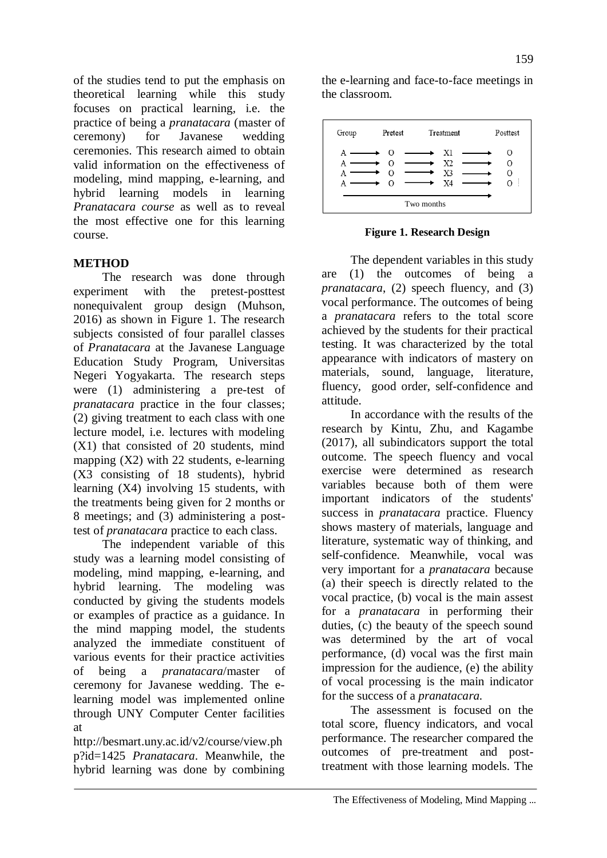of the studies tend to put the emphasis on theoretical learning while this study focuses on practical learning, i.e. the practice of being a *pranatacara* (master of ceremony) for Javanese wedding ceremonies. This research aimed to obtain valid information on the effectiveness of modeling, mind mapping, e-learning, and hybrid learning models in learning *Pranatacara course* as well as to reveal the most effective one for this learning course.

## **METHOD**

The research was done through experiment with the pretest-posttest nonequivalent group design (Muhson, 2016) as shown in Figure 1. The research subjects consisted of four parallel classes of *Pranatacara* at the Javanese Language Education Study Program, Universitas Negeri Yogyakarta. The research steps were (1) administering a pre-test of *pranatacara* practice in the four classes; (2) giving treatment to each class with one lecture model, i.e. lectures with modeling (X1) that consisted of 20 students, mind mapping  $(X2)$  with 22 students, e-learning (X3 consisting of 18 students), hybrid learning (X4) involving 15 students, with the treatments being given for 2 months or 8 meetings; and (3) administering a posttest of *pranatacara* practice to each class.

The independent variable of this study was a learning model consisting of modeling, mind mapping, e-learning, and hybrid learning. The modeling was conducted by giving the students models or examples of practice as a guidance. In the mind mapping model, the students analyzed the immediate constituent of various events for their practice activities of being a *pranatacara*/master of ceremony for Javanese wedding. The elearning model was implemented online through UNY Computer Center facilities at

http://besmart.uny.ac.id/v2/course/view.ph p?id=1425 *Pranatacara*. Meanwhile, the hybrid learning was done by combining the e-learning and face-to-face meetings in the classroom.



**Figure 1. Research Design**

The dependent variables in this study are (1) the outcomes of being a *pranatacara*, (2) speech fluency, and (3) vocal performance. The outcomes of being a *pranatacara* refers to the total score achieved by the students for their practical testing. It was characterized by the total appearance with indicators of mastery on materials, sound, language, literature, fluency, good order, self-confidence and attitude.

In accordance with the results of the research by Kintu, Zhu, and Kagambe (2017), all subindicators support the total outcome. The speech fluency and vocal exercise were determined as research variables because both of them were important indicators of the students' success in *pranatacara* practice. Fluency shows mastery of materials, language and literature, systematic way of thinking, and self-confidence. Meanwhile, vocal was very important for a *pranatacara* because (a) their speech is directly related to the vocal practice, (b) vocal is the main assest for a *pranatacara* in performing their duties, (c) the beauty of the speech sound was determined by the art of vocal performance, (d) vocal was the first main impression for the audience, (e) the ability of vocal processing is the main indicator for the success of a *pranatacara.*

The assessment is focused on the total score, fluency indicators, and vocal performance. The researcher compared the outcomes of pre-treatment and posttreatment with those learning models. The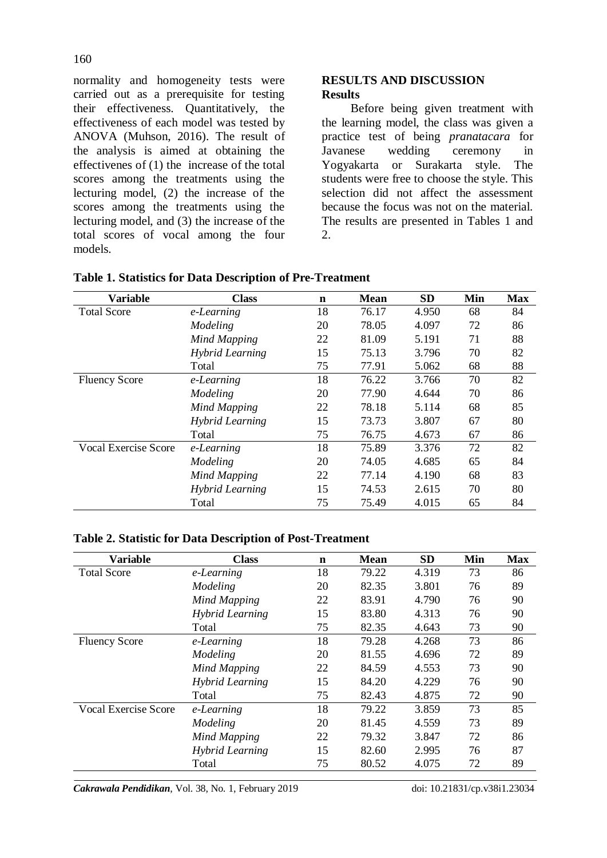normality and homogeneity tests were carried out as a prerequisite for testing their effectiveness. Quantitatively, the effectiveness of each model was tested by ANOVA (Muhson, 2016). The result of the analysis is aimed at obtaining the effectivenes of (1) the increase of the total scores among the treatments using the lecturing model, (2) the increase of the scores among the treatments using the lecturing model, and (3) the increase of the total scores of vocal among the four models.

### **RESULTS AND DISCUSSION Results**

Before being given treatment with the learning model, the class was given a practice test of being *pranatacara* for Javanese wedding ceremony in Yogyakarta or Surakarta style. The students were free to choose the style. This selection did not affect the assessment because the focus was not on the material. The results are presented in Tables 1 and 2.

| <b>Variable</b>             | <b>Class</b>           | $\mathbf n$ | <b>Mean</b> | <b>SD</b> | Min | <b>Max</b> |
|-----------------------------|------------------------|-------------|-------------|-----------|-----|------------|
| <b>Total Score</b>          | e-Learning             | 18          | 76.17       | 4.950     | 68  | 84         |
|                             | Modeling               | 20          | 78.05       | 4.097     | 72  | 86         |
|                             | <b>Mind Mapping</b>    | 22          | 81.09       | 5.191     | 71  | 88         |
|                             | <b>Hybrid Learning</b> | 15          | 75.13       | 3.796     | 70  | 82         |
|                             | Total                  | 75          | 77.91       | 5.062     | 68  | 88         |
| <b>Fluency Score</b>        | e-Learning             | 18          | 76.22       | 3.766     | 70  | 82         |
|                             | Modeling               | 20          | 77.90       | 4.644     | 70  | 86         |
|                             | <b>Mind Mapping</b>    | 22          | 78.18       | 5.114     | 68  | 85         |
|                             | <b>Hybrid Learning</b> | 15          | 73.73       | 3.807     | 67  | 80         |
|                             | Total                  | 75          | 76.75       | 4.673     | 67  | 86         |
| <b>Vocal Exercise Score</b> | e-Learning             | 18          | 75.89       | 3.376     | 72  | 82         |
|                             | Modeling               | 20          | 74.05       | 4.685     | 65  | 84         |
|                             | <b>Mind Mapping</b>    | 22          | 77.14       | 4.190     | 68  | 83         |
|                             | <b>Hybrid Learning</b> | 15          | 74.53       | 2.615     | 70  | 80         |
|                             | Total                  | 75          | 75.49       | 4.015     | 65  | 84         |

#### **Table 2. Statistic for Data Description of Post-Treatment**

| <b>Variable</b>             | <b>Class</b>           | $\mathbf n$ | <b>Mean</b> | <b>SD</b> | Min | <b>Max</b> |
|-----------------------------|------------------------|-------------|-------------|-----------|-----|------------|
| <b>Total Score</b>          | e-Learning             | 18          | 79.22       | 4.319     | 73  | 86         |
|                             | Modeling               | 20          | 82.35       | 3.801     | 76  | 89         |
|                             | <b>Mind Mapping</b>    | 22          | 83.91       | 4.790     | 76  | 90         |
|                             | <b>Hybrid Learning</b> | 15          | 83.80       | 4.313     | 76  | 90         |
|                             | Total                  | 75          | 82.35       | 4.643     | 73  | 90         |
| <b>Fluency Score</b>        | e-Learning             | 18          | 79.28       | 4.268     | 73  | 86         |
|                             | Modeling               | 20          | 81.55       | 4.696     | 72  | 89         |
|                             | <b>Mind Mapping</b>    | 22          | 84.59       | 4.553     | 73  | 90         |
|                             | <b>Hybrid Learning</b> | 15          | 84.20       | 4.229     | 76  | 90         |
|                             | Total                  | 75          | 82.43       | 4.875     | 72  | 90         |
| <b>Vocal Exercise Score</b> | e-Learning             | 18          | 79.22       | 3.859     | 73  | 85         |
|                             | Modeling               | 20          | 81.45       | 4.559     | 73  | 89         |
|                             | <b>Mind Mapping</b>    | 22          | 79.32       | 3.847     | 72  | 86         |
|                             | <b>Hybrid Learning</b> | 15          | 82.60       | 2.995     | 76  | 87         |
|                             | Total                  | 75          | 80.52       | 4.075     | 72  | 89         |

*Cakrawala Pendidikan*, Vol. 38, No. 1, February 2019 doi: 10.21831/cp.v38i1.23034

#### 160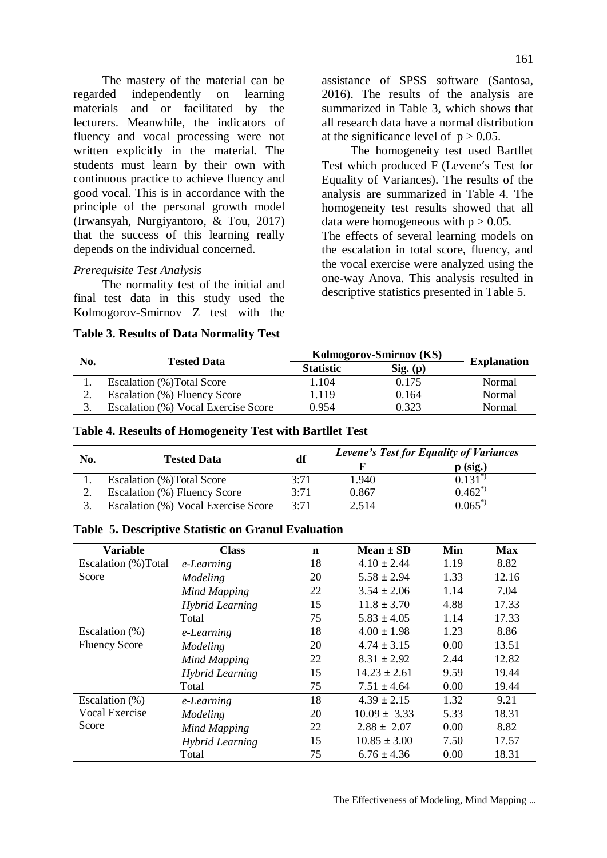The mastery of the material can be regarded independently on learning materials and or facilitated by the lecturers. Meanwhile, the indicators of fluency and vocal processing were not written explicitly in the material. The students must learn by their own with continuous practice to achieve fluency and good vocal. This is in accordance with the principle of the personal growth model (Irwansyah, Nurgiyantoro, & Tou, 2017) that the success of this learning really depends on the individual concerned.

## *Prerequisite Test Analysis*

The normality test of the initial and final test data in this study used the Kolmogorov-Smirnov Z test with the

**Table 3. Results of Data Normality Test** 

assistance of SPSS software (Santosa, 2016). The results of the analysis are summarized in Table 3, which shows that all research data have a normal distribution at the significance level of  $p > 0.05$ .

The homogeneity test used Bartllet Test which produced F (Levene's Test for Equality of Variances). The results of the analysis are summarized in Table 4. The homogeneity test results showed that all data were homogeneous with  $p > 0.05$ . The effects of several learning models on the escalation in total score, fluency, and the vocal exercise were analyzed using the one-way Anova. This analysis resulted in descriptive statistics presented in Table 5.

| No. | <b>Tested Data</b>                  | Kolmogorov-Smirnov (KS) | <b>Explanation</b> |        |
|-----|-------------------------------------|-------------------------|--------------------|--------|
|     |                                     | <b>Statistic</b>        | $Sig.$ (p)         |        |
|     | Escalation (%) Total Score          | .104                    | 0.175              | Normal |
| 2.  | Escalation (%) Fluency Score        | .119                    | 0.164              | Normal |
|     | Escalation (%) Vocal Exercise Score | 0.954                   | 0.323              | Normal |

### **Table 4. Reseults of Homogeneity Test with Bartllet Test**

| No. | <b>Tested Data</b>                  | df   | <b>Levene's Test for Equality of Variances</b> |                        |  |
|-----|-------------------------------------|------|------------------------------------------------|------------------------|--|
|     |                                     |      |                                                | $p$ (sig.)             |  |
|     | Escalation (%) Total Score          | 3:71 | 1.940                                          | $\overline{0.131}^{*}$ |  |
|     | Escalation (%) Fluency Score        | 3:71 | 0.867                                          | $0.462^{*}$            |  |
|     | Escalation (%) Vocal Exercise Score | 3.71 | 2.514                                          | $0.065^{*}$            |  |

#### **Table 5. Descriptive Statistic on Granul Evaluation**

| <b>Variable</b>      | <b>Class</b>           | $\mathbf n$ | Mean $\pm$ SD    | Min  | <b>Max</b> |
|----------------------|------------------------|-------------|------------------|------|------------|
| Escalation (%)Total  | e-Learning             | 18          | $4.10 \pm 2.44$  | 1.19 | 8.82       |
| Score                | Modeling               | 20          | $5.58 \pm 2.94$  | 1.33 | 12.16      |
|                      | <b>Mind Mapping</b>    | 22          | $3.54 \pm 2.06$  | 1.14 | 7.04       |
|                      | <b>Hybrid Learning</b> | 15          | $11.8 \pm 3.70$  | 4.88 | 17.33      |
|                      | Total                  | 75          | $5.83 \pm 4.05$  | 1.14 | 17.33      |
| Escalation (%)       | e-Learning             | 18          | $4.00 \pm 1.98$  | 1.23 | 8.86       |
| <b>Fluency Score</b> | Modeling               | 20          | $4.74 \pm 3.15$  | 0.00 | 13.51      |
|                      | Mind Mapping           | 22          | $8.31 \pm 2.92$  | 2.44 | 12.82      |
|                      | Hybrid Learning        | 15          | $14.23 + 2.61$   | 9.59 | 19.44      |
|                      | Total                  | 75          | $7.51 \pm 4.64$  | 0.00 | 19.44      |
| Escalation (%)       | e-Learning             | 18          | $4.39 \pm 2.15$  | 1.32 | 9.21       |
| Vocal Exercise       | Modeling               | 20          | $10.09 \pm 3.33$ | 5.33 | 18.31      |
| Score                | <b>Mind Mapping</b>    | 22          | $2.88 \pm 2.07$  | 0.00 | 8.82       |
|                      | <b>Hybrid Learning</b> | 15          | $10.85 \pm 3.00$ | 7.50 | 17.57      |
|                      | Total                  | 75          | $6.76 \pm 4.36$  | 0.00 | 18.31      |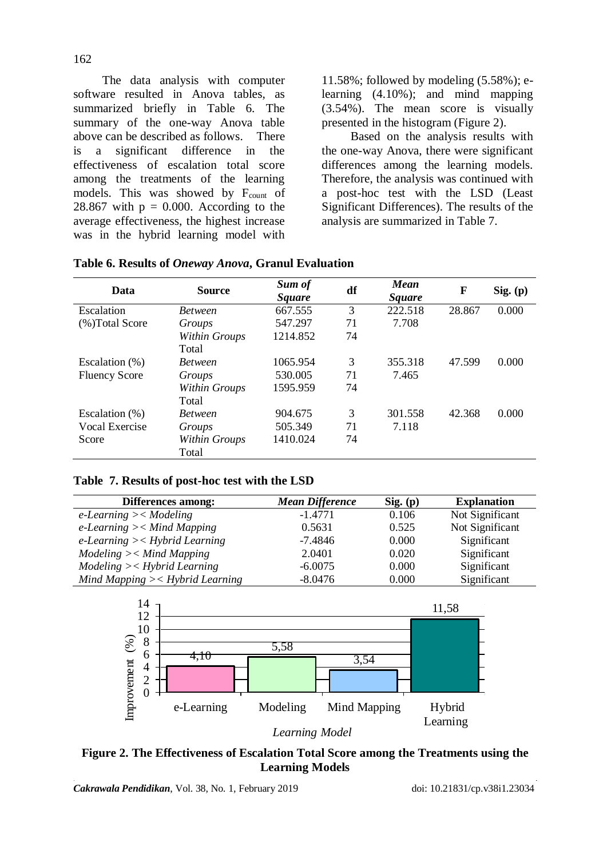The data analysis with computer software resulted in Anova tables, as summarized briefly in Table 6. The summary of the one-way Anova table above can be described as follows. There is a significant difference in the effectiveness of escalation total score among the treatments of the learning models. This was showed by Fcount of 28.867 with  $p = 0.000$ . According to the average effectiveness, the highest increase was in the hybrid learning model with 11.58%; followed by modeling (5.58%); elearning (4.10%); and mind mapping (3.54%). The mean score is visually presented in the histogram (Figure 2).

Based on the analysis results with the one-way Anova, there were significant differences among the learning models. Therefore, the analysis was continued with a post-hoc test with the LSD (Least Significant Differences). The results of the analysis are summarized in Table 7.

| Data                 | <b>Source</b>        | Sum of<br><i>Square</i> | df | <b>Mean</b><br><b>Square</b> | F      | Sig. (p) |
|----------------------|----------------------|-------------------------|----|------------------------------|--------|----------|
| Escalation           | <b>Between</b>       | 667.555                 | 3  | 222.518                      | 28.867 | 0.000    |
| (%) Total Score      | Groups               | 547.297                 | 71 | 7.708                        |        |          |
|                      | <b>Within Groups</b> | 1214.852                | 74 |                              |        |          |
|                      | Total                |                         |    |                              |        |          |
| Escalation (%)       | <b>Between</b>       | 1065.954                | 3  | 355.318                      | 47.599 | 0.000    |
| <b>Fluency Score</b> | Groups               | 530.005                 | 71 | 7.465                        |        |          |
|                      | Within Groups        | 1595.959                | 74 |                              |        |          |
|                      | Total                |                         |    |                              |        |          |
| Escalation $(\%)$    | <b>Between</b>       | 904.675                 | 3  | 301.558                      | 42.368 | 0.000    |
| Vocal Exercise       | Groups               | 505.349                 | 71 | 7.118                        |        |          |
| Score                | Within Groups        | 1410.024                | 74 |                              |        |          |
|                      | Total                |                         |    |                              |        |          |

**Table 6. Results of** *Oneway Anova***, Granul Evaluation**

**Table 7. Results of post-hoc test with the LSD**

| Differences among:                     | <b>Mean Difference</b> | Sig. (p) | <b>Explanation</b> |
|----------------------------------------|------------------------|----------|--------------------|
| $e$ -Learning >< Modeling              | $-1.4771$              | 0.106    | Not Significant    |
| $e$ -Learning $\gt$ $\lt$ Mind Mapping | 0.5631                 | 0.525    | Not Significant    |
| $e$ -Learning $\ge$ < Hybrid Learning  | $-7.4846$              | 0.000    | Significant        |
| $Modeling \gt < Mind$ Mapping          | 2.0401                 | 0.020    | Significant        |
| $Modeling \gt Hybrid Learning$         | $-6.0075$              | 0.000    | Significant        |
| Mind Mapping $\ge$ - Hybrid Learning   | $-8.0476$              | 0.000    | Significant        |



*Learning Model*

**Figure 2. The Effectiveness of Escalation Total Score among the Treatments using the Learning Models**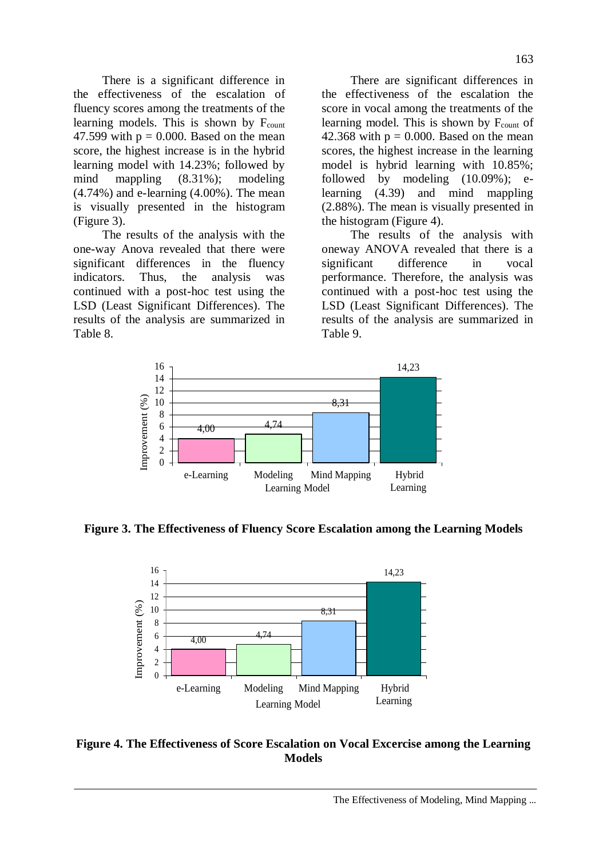There is a significant difference in the effectiveness of the escalation of fluency scores among the treatments of the learning models. This is shown by  $F_{\text{count}}$ 47.599 with  $p = 0.000$ . Based on the mean score, the highest increase is in the hybrid learning model with 14.23%; followed by mind mappling (8.31%); modeling (4.74%) and e-learning (4.00%). The mean is visually presented in the histogram (Figure 3).

The results of the analysis with the one-way Anova revealed that there were significant differences in the fluency indicators. Thus, the analysis was continued with a post-hoc test using the LSD (Least Significant Differences). The results of the analysis are summarized in Table 8.

There are significant differences in the effectiveness of the escalation the score in vocal among the treatments of the learning model. This is shown by  $F_{\text{count}}$  of 42.368 with  $p = 0.000$ . Based on the mean scores, the highest increase in the learning model is hybrid learning with 10.85%; followed by modeling (10.09%); elearning (4.39) and mind mappling (2.88%). The mean is visually presented in the histogram (Figure 4).

The results of the analysis with oneway ANOVA revealed that there is a significant difference in vocal performance. Therefore, the analysis was continued with a post-hoc test using the LSD (Least Significant Differences). The results of the analysis are summarized in Table 9.



**Figure 3. The Effectiveness of Fluency Score Escalation among the Learning Models** 



## **Figure 4. The Effectiveness of Score Escalation on Vocal Excercise among the Learning Models**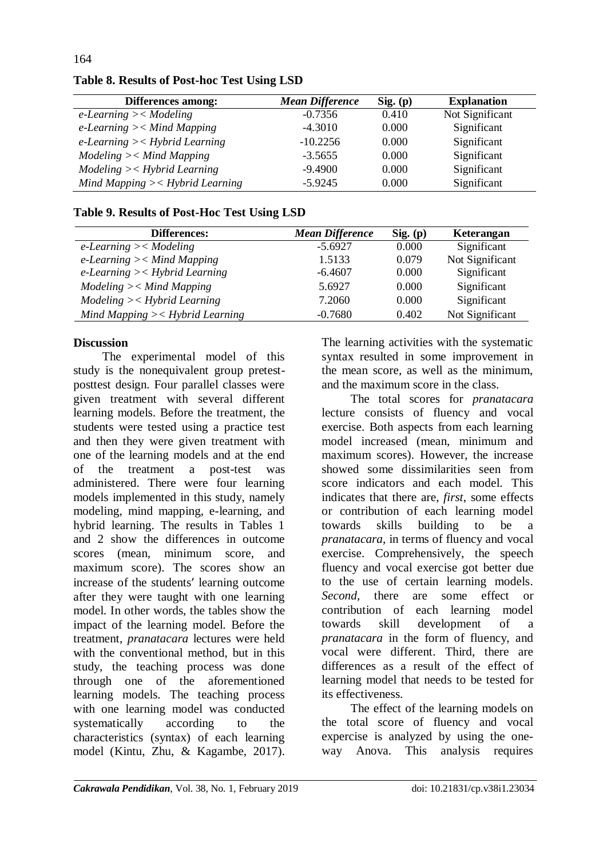| Differences among:                     | <b>Mean Difference</b> | $Sig.$ (p) | <b>Explanation</b> |
|----------------------------------------|------------------------|------------|--------------------|
| $e$ -Learning >< Modeling              | $-0.7356$              | 0.410      | Not Significant    |
| $e$ -Learning $\gt$ $\lt$ Mind Mapping | $-4.3010$              | 0.000      | Significant        |
| $e$ -Learning $\ge$ Hybrid Learning    | $-10.2256$             | 0.000      | Significant        |
| $Modeling \gt < Mind$ Mapping          | $-3.5655$              | 0.000      | Significant        |
| $Modeling \gt Hybrid Learning$         | $-9.4900$              | 0.000      | Significant        |
| Mind Mapping $\ge$ - Hybrid Learning   | $-5.9245$              | 0.000      | Significant        |

# **Table 8. Results of Post-hoc Test Using LSD**

### **Table 9. Results of Post-Hoc Test Using LSD**

| Differences:                          | <b>Mean Difference</b> | Sig. (p) | Keterangan      |
|---------------------------------------|------------------------|----------|-----------------|
| $e$ -Learning >< Modeling             | $-5.6927$              | 0.000    | Significant     |
| e-Learning $\ge$ $\lt$ Mind Mapping   | 1.5133                 | 0.079    | Not Significant |
| $e$ -Learning $\ge$ < Hybrid Learning | $-6.4607$              | 0.000    | Significant     |
| $Modeling \gt < Mind$ Mapping         | 5.6927                 | 0.000    | Significant     |
| $Modeling \gt Hybrid Learning$        | 7.2060                 | 0.000    | Significant     |
| Mind Mapping $\ge$ - Hybrid Learning  | $-0.7680$              | 0.402    | Not Significant |

## **Discussion**

164

The experimental model of this study is the nonequivalent group pretestposttest design. Four parallel classes were given treatment with several different learning models. Before the treatment, the students were tested using a practice test and then they were given treatment with one of the learning models and at the end of the treatment a post-test was administered. There were four learning models implemented in this study, namely modeling, mind mapping, e-learning, and hybrid learning. The results in Tables 1 and 2 show the differences in outcome scores (mean, minimum score, and maximum score). The scores show an increase of the students' learning outcome after they were taught with one learning model. In other words, the tables show the impact of the learning model. Before the treatment, *pranatacara* lectures were held with the conventional method, but in this study, the teaching process was done through one of the aforementioned learning models. The teaching process with one learning model was conducted systematically according to the characteristics (syntax) of each learning model (Kintu, Zhu, & Kagambe, 2017).

The learning activities with the systematic syntax resulted in some improvement in the mean score, as well as the minimum, and the maximum score in the class.

The total scores for *pranatacara* lecture consists of fluency and vocal exercise. Both aspects from each learning model increased (mean, minimum and maximum scores). However, the increase showed some dissimilarities seen from score indicators and each model. This indicates that there are, *first*, some effects or contribution of each learning model towards skills building to be a *pranatacara*, in terms of fluency and vocal exercise. Comprehensively, the speech fluency and vocal exercise got better due to the use of certain learning models. *Second*, there are some effect or contribution of each learning model towards skill development of a *pranatacara* in the form of fluency, and vocal were different. Third, there are differences as a result of the effect of learning model that needs to be tested for its effectiveness.

The effect of the learning models on the total score of fluency and vocal expercise is analyzed by using the oneway Anova. This analysis requires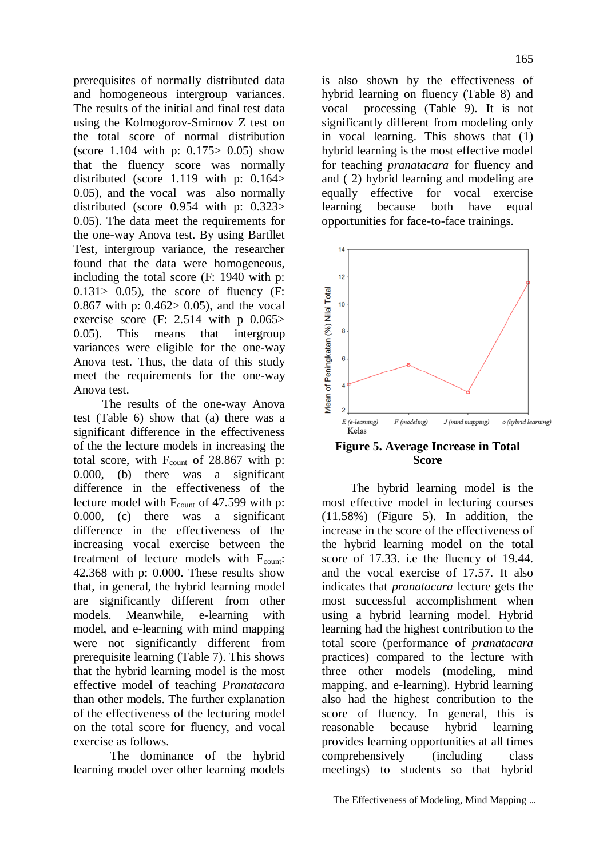prerequisites of normally distributed data and homogeneous intergroup variances. The results of the initial and final test data using the Kolmogorov-Smirnov Z test on the total score of normal distribution (score 1.104 with p: 0.175> 0.05) show that the fluency score was normally distributed (score 1.119 with p: 0.164> 0.05), and the vocal was also normally distributed (score 0.954 with p: 0.323> 0.05). The data meet the requirements for the one-way Anova test. By using Bartllet Test, intergroup variance, the researcher found that the data were homogeneous, including the total score (F: 1940 with p:  $0.131 > 0.05$ ), the score of fluency (F: 0.867 with p: 0.462> 0.05), and the vocal exercise score  $(F: 2.514$  with p  $0.065>$ 0.05). This means that intergroup variances were eligible for the one-way Anova test. Thus, the data of this study meet the requirements for the one-way Anova test.

The results of the one-way Anova test (Table 6) show that (a) there was a significant difference in the effectiveness of the the lecture models in increasing the total score, with  $F_{\text{count}}$  of 28.867 with p: 0.000, (b) there was a significant difference in the effectiveness of the lecture model with  $F_{\text{count}}$  of 47.599 with p: 0.000, (c) there was a significant difference in the effectiveness of the increasing vocal exercise between the treatment of lecture models with  $F_{\text{count}}$ : 42.368 with p: 0.000. These results show that, in general, the hybrid learning model are significantly different from other models. Meanwhile, e-learning with model, and e-learning with mind mapping were not significantly different from prerequisite learning (Table 7). This shows that the hybrid learning model is the most effective model of teaching *Pranatacara* than other models. The further explanation of the effectiveness of the lecturing model on the total score for fluency, and vocal exercise as follows.

The dominance of the hybrid learning model over other learning models

is also shown by the effectiveness of hybrid learning on fluency (Table 8) and vocal processing (Table 9). It is not significantly different from modeling only in vocal learning. This shows that (1) hybrid learning is the most effective model for teaching *pranatacara* for fluency and and ( 2) hybrid learning and modeling are equally effective for vocal exercise learning because both have equal opportunities for face-to-face trainings.



**Figure 5. Average Increase in Total Score**

The hybrid learning model is the most effective model in lecturing courses (11.58%) (Figure 5). In addition, the increase in the score of the effectiveness of the hybrid learning model on the total score of 17.33. i.e the fluency of 19.44. and the vocal exercise of 17.57. It also indicates that *pranatacara* lecture gets the most successful accomplishment when using a hybrid learning model. Hybrid learning had the highest contribution to the total score (performance of *pranatacara* practices) compared to the lecture with three other models (modeling, mind mapping, and e-learning). Hybrid learning also had the highest contribution to the score of fluency. In general, this is reasonable because hybrid learning provides learning opportunities at all times comprehensively (including class meetings) to students so that hybrid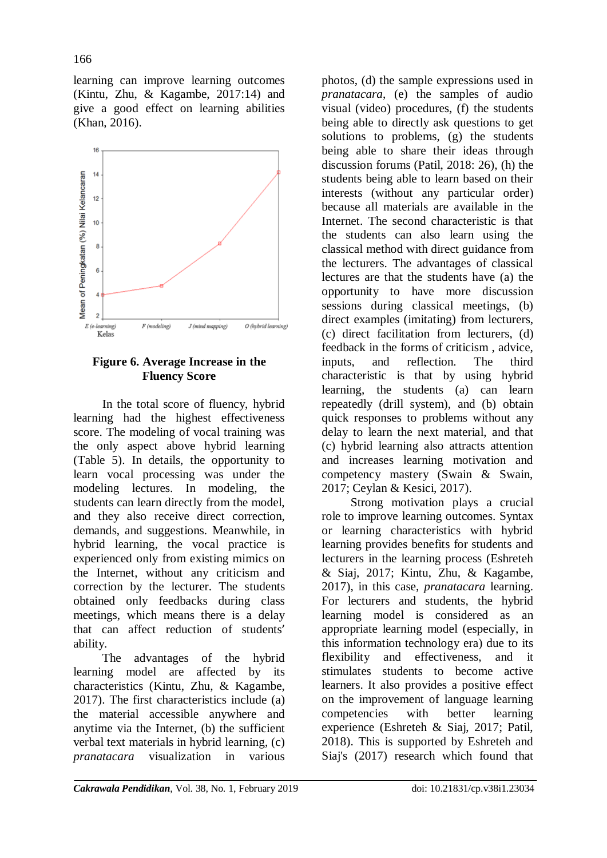learning can improve learning outcomes (Kintu, Zhu, & Kagambe, 2017:14) and give a good effect on learning abilities (Khan, 2016).



## **Figure 6. Average Increase in the Fluency Score**

In the total score of fluency, hybrid learning had the highest effectiveness score. The modeling of vocal training was the only aspect above hybrid learning (Table 5). In details, the opportunity to learn vocal processing was under the modeling lectures. In modeling, the students can learn directly from the model, and they also receive direct correction, demands, and suggestions. Meanwhile, in hybrid learning, the vocal practice is experienced only from existing mimics on the Internet, without any criticism and correction by the lecturer. The students obtained only feedbacks during class meetings, which means there is a delay that can affect reduction of students' ability.

The advantages of the hybrid learning model are affected by its characteristics (Kintu, Zhu, & Kagambe, 2017). The first characteristics include (a) the material accessible anywhere and anytime via the Internet, (b) the sufficient verbal text materials in hybrid learning, (c) *pranatacara* visualization in various

photos, (d) the sample expressions used in *pranatacara*, (e) the samples of audio visual (video) procedures, (f) the students being able to directly ask questions to get solutions to problems, (g) the students being able to share their ideas through discussion forums (Patil, 2018: 26), (h) the students being able to learn based on their interests (without any particular order) because all materials are available in the Internet. The second characteristic is that the students can also learn using the classical method with direct guidance from the lecturers. The advantages of classical lectures are that the students have (a) the opportunity to have more discussion sessions during classical meetings, (b) direct examples (imitating) from lecturers, (c) direct facilitation from lecturers, (d) feedback in the forms of criticism , advice, inputs, and reflection. The third characteristic is that by using hybrid learning, the students (a) can learn repeatedly (drill system), and (b) obtain quick responses to problems without any delay to learn the next material, and that (c) hybrid learning also attracts attention and increases learning motivation and competency mastery (Swain & Swain, 2017; Ceylan & Kesici, 2017).

Strong motivation plays a crucial role to improve learning outcomes. Syntax or learning characteristics with hybrid learning provides benefits for students and lecturers in the learning process (Eshreteh & Siaj, 2017; Kintu, Zhu, & Kagambe, 2017), in this case, *pranatacara* learning. For lecturers and students, the hybrid learning model is considered as an appropriate learning model (especially, in this information technology era) due to its flexibility and effectiveness, and it stimulates students to become active learners. It also provides a positive effect on the improvement of language learning competencies with better learning experience (Eshreteh & Siaj, 2017; Patil, 2018). This is supported by Eshreteh and Siaj's (2017) research which found that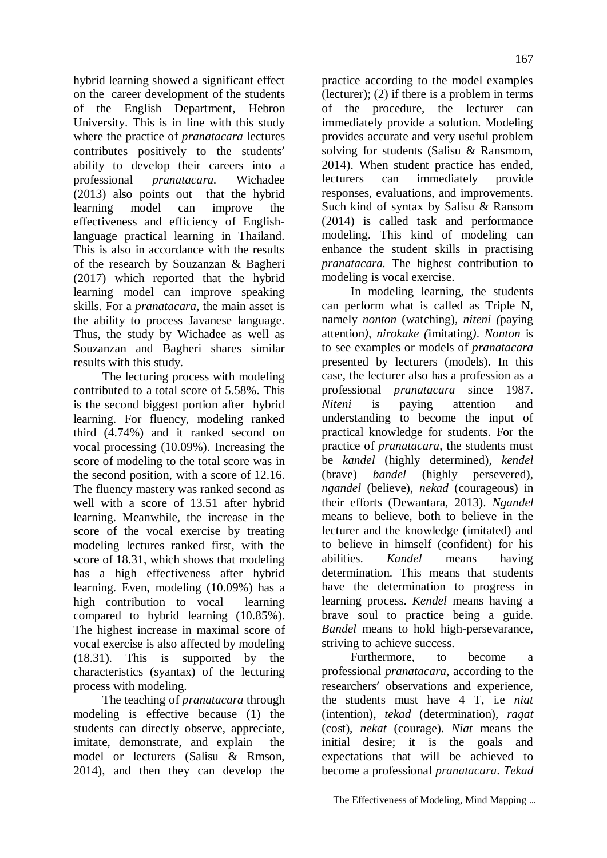hybrid learning showed a significant effect on the career development of the students of the English Department, Hebron University. This is in line with this study where the practice of *pranatacara* lectures contributes positively to the students' ability to develop their careers into a professional *pranatacara.* Wichadee (2013) also points out that the hybrid learning model can improve the effectiveness and efficiency of Englishlanguage practical learning in Thailand. This is also in accordance with the results of the research by Souzanzan & Bagheri (2017) which reported that the hybrid learning model can improve speaking skills. For a *pranatacara*, the main asset is the ability to process Javanese language. Thus, the study by Wichadee as well as Souzanzan and Bagheri shares similar

results with this study. The lecturing process with modeling contributed to a total score of 5.58%. This is the second biggest portion after hybrid learning. For fluency, modeling ranked third (4.74%) and it ranked second on vocal processing (10.09%). Increasing the score of modeling to the total score was in the second position, with a score of 12.16. The fluency mastery was ranked second as well with a score of 13.51 after hybrid learning. Meanwhile, the increase in the score of the vocal exercise by treating modeling lectures ranked first, with the score of 18.31, which shows that modeling has a high effectiveness after hybrid learning. Even, modeling (10.09%) has a high contribution to vocal learning compared to hybrid learning (10.85%). The highest increase in maximal score of vocal exercise is also affected by modeling (18.31). This is supported by the characteristics (syantax) of the lecturing process with modeling.

The teaching of *pranatacara* through modeling is effective because (1) the students can directly observe, appreciate, imitate, demonstrate, and explain the model or lecturers (Salisu & Rmson, 2014), and then they can develop the

practice according to the model examples (lecturer); (2) if there is a problem in terms of the procedure, the lecturer can immediately provide a solution. Modeling provides accurate and very useful problem solving for students (Salisu & Ransmom, 2014). When student practice has ended, lecturers can immediately provide responses, evaluations, and improvements. Such kind of syntax by Salisu & Ransom (2014) is called task and performance modeling. This kind of modeling can enhance the student skills in practising *pranatacara.* The highest contribution to modeling is vocal exercise.

In modeling learning, the students can perform what is called as Triple N, namely *nonton* (watching)*, niteni (*paying attention*), nirokake (*imitating*)*. *Nonton* is to see examples or models of *pranatacara*  presented by lecturers (models). In this case, the lecturer also has a profession as a professional *pranatacara* since 1987. *Niteni* is paying attention and understanding to become the input of practical knowledge for students. For the practice of *pranatacara*, the students must be *kandel* (highly determined), *kendel* (brave) *bandel* (highly persevered), *ngandel* (believe), *nekad* (courageous) in their efforts (Dewantara, 2013). *Ngandel* means to believe, both to believe in the lecturer and the knowledge (imitated) and to believe in himself (confident) for his abilities. *Kandel* means having determination. This means that students have the determination to progress in learning process. *Kendel* means having a brave soul to practice being a guide. *Bandel* means to hold high-persevarance, striving to achieve success.

Furthermore, to become a professional *pranatacara*, according to the researchers' observations and experience, the students must have 4 T, i.e *niat* (intention), *tekad* (determination), *ragat* (cost), *nekat* (courage). *Niat* means the initial desire; it is the goals and expectations that will be achieved to become a professional *pranatacara*. *Tekad*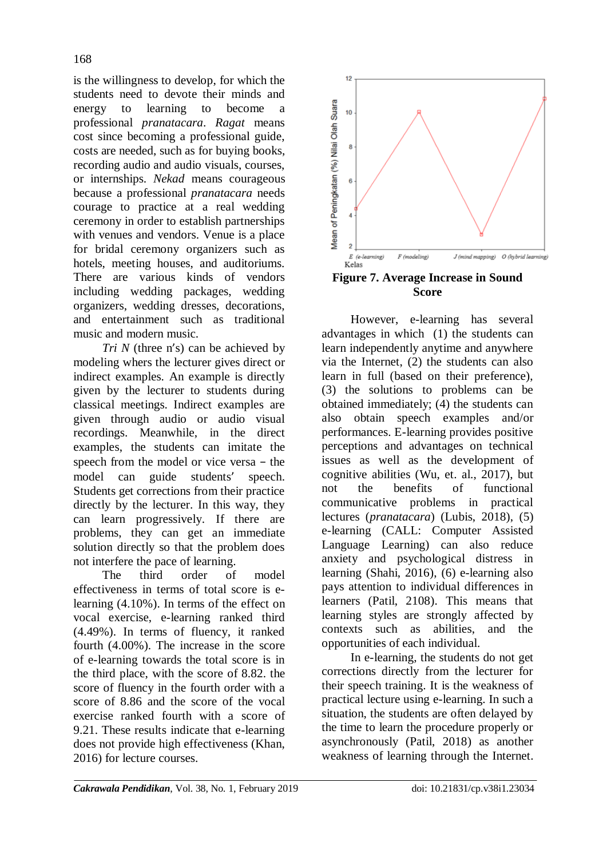is the willingness to develop, for which the students need to devote their minds and energy to learning to become a professional *pranatacara*. *Ragat* means cost since becoming a professional guide, costs are needed, such as for buying books, recording audio and audio visuals, courses, or internships. *Nekad* means courageous because a professional *pranatacara* needs courage to practice at a real wedding ceremony in order to establish partnerships with venues and vendors. Venue is a place for bridal ceremony organizers such as hotels, meeting houses, and auditoriums. There are various kinds of vendors including wedding packages, wedding organizers, wedding dresses, decorations, and entertainment such as traditional music and modern music.

*Tri N* (three n's) can be achieved by modeling whers the lecturer gives direct or indirect examples. An example is directly given by the lecturer to students during classical meetings. Indirect examples are given through audio or audio visual recordings. Meanwhile, in the direct examples, the students can imitate the speech from the model or vice versa − the model can guide students' speech. Students get corrections from their practice directly by the lecturer. In this way, they can learn progressively. If there are problems, they can get an immediate solution directly so that the problem does not interfere the pace of learning.

The third order of model effectiveness in terms of total score is elearning (4.10%). In terms of the effect on vocal exercise, e-learning ranked third (4.49%). In terms of fluency, it ranked fourth (4.00%). The increase in the score of e-learning towards the total score is in the third place, with the score of 8.82. the score of fluency in the fourth order with a score of 8.86 and the score of the vocal exercise ranked fourth with a score of 9.21. These results indicate that e-learning does not provide high effectiveness (Khan, 2016) for lecture courses.



**Figure 7. Average Increase in Sound Score**

However, e-learning has several advantages in which (1) the students can learn independently anytime and anywhere via the Internet, (2) the students can also learn in full (based on their preference), (3) the solutions to problems can be obtained immediately; (4) the students can also obtain speech examples and/or performances. E-learning provides positive perceptions and advantages on technical issues as well as the development of cognitive abilities (Wu, et. al.,  $2017$ ), but not the benefits of functional communicative problems in practical lectures (*pranatacara*) (Lubis, 2018), (5) e-learning (CALL: Computer Assisted Language Learning) can also reduce anxiety and psychological distress in learning (Shahi, 2016), (6) e-learning also pays attention to individual differences in learners (Patil, 2108). This means that learning styles are strongly affected by contexts such as abilities, and the opportunities of each individual.

In e-learning, the students do not get corrections directly from the lecturer for their speech training. It is the weakness of practical lecture using e-learning. In such a situation, the students are often delayed by the time to learn the procedure properly or asynchronously (Patil, 2018) as another weakness of learning through the Internet.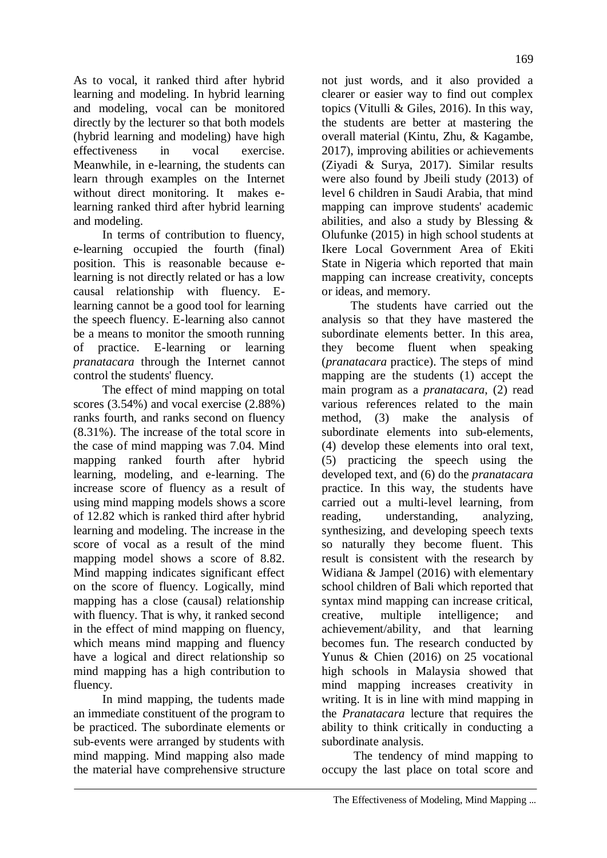As to vocal, it ranked third after hybrid learning and modeling. In hybrid learning and modeling, vocal can be monitored directly by the lecturer so that both models (hybrid learning and modeling) have high effectiveness in vocal exercise. Meanwhile, in e-learning, the students can learn through examples on the Internet without direct monitoring. It makes elearning ranked third after hybrid learning and modeling.

In terms of contribution to fluency, e-learning occupied the fourth (final) position. This is reasonable because elearning is not directly related or has a low causal relationship with fluency. Elearning cannot be a good tool for learning the speech fluency. E-learning also cannot be a means to monitor the smooth running of practice. E-learning or learning *pranatacara* through the Internet cannot control the students' fluency.

The effect of mind mapping on total scores (3.54%) and vocal exercise (2.88%) ranks fourth, and ranks second on fluency (8.31%). The increase of the total score in the case of mind mapping was 7.04. Mind mapping ranked fourth after hybrid learning, modeling, and e-learning. The increase score of fluency as a result of using mind mapping models shows a score of 12.82 which is ranked third after hybrid learning and modeling. The increase in the score of vocal as a result of the mind mapping model shows a score of 8.82. Mind mapping indicates significant effect on the score of fluency. Logically, mind mapping has a close (causal) relationship with fluency. That is why, it ranked second in the effect of mind mapping on fluency, which means mind mapping and fluency have a logical and direct relationship so mind mapping has a high contribution to fluency.

In mind mapping, the tudents made an immediate constituent of the program to be practiced. The subordinate elements or sub-events were arranged by students with mind mapping. Mind mapping also made the material have comprehensive structure

not just words, and it also provided a clearer or easier way to find out complex topics (Vitulli & Giles, 2016). In this way, the students are better at mastering the overall material (Kintu, Zhu, & Kagambe, 2017), improving abilities or achievements (Ziyadi & Surya, 2017). Similar results were also found by Jbeili study (2013) of level 6 children in Saudi Arabia, that mind mapping can improve students' academic abilities, and also a study by Blessing & Olufunke (2015) in high school students at Ikere Local Government Area of Ekiti State in Nigeria which reported that main mapping can increase creativity, concepts or ideas, and memory.

The students have carried out the analysis so that they have mastered the subordinate elements better. In this area, they become fluent when speaking (*pranatacara* practice). The steps of mind mapping are the students (1) accept the main program as a *pranatacara*, (2) read various references related to the main method, (3) make the analysis of subordinate elements into sub-elements, (4) develop these elements into oral text, (5) practicing the speech using the developed text, and (6) do the *pranatacara* practice. In this way, the students have carried out a multi-level learning, from reading, understanding, analyzing, synthesizing, and developing speech texts so naturally they become fluent. This result is consistent with the research by Widiana & Jampel (2016) with elementary school children of Bali which reported that syntax mind mapping can increase critical, creative, multiple intelligence; and achievement/ability, and that learning becomes fun. The research conducted by Yunus & Chien (2016) on 25 vocational high schools in Malaysia showed that mind mapping increases creativity in writing. It is in line with mind mapping in the *Pranatacara* lecture that requires the ability to think critically in conducting a subordinate analysis.

The tendency of mind mapping to occupy the last place on total score and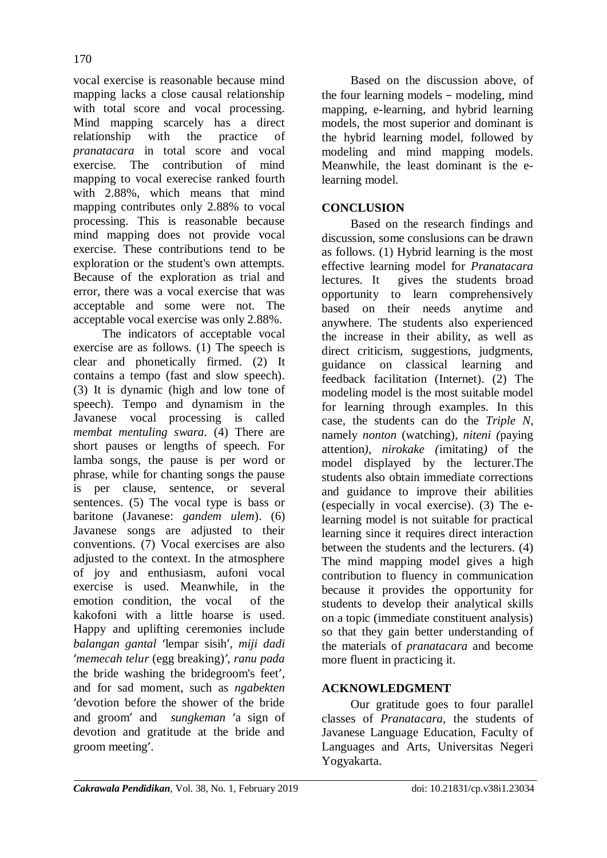vocal exercise is reasonable because mind mapping lacks a close causal relationship with total score and vocal processing. Mind mapping scarcely has a direct relationship with the practice of *pranatacara* in total score and vocal exercise. The contribution of mind mapping to vocal exerecise ranked fourth with 2.88%, which means that mind mapping contributes only 2.88% to vocal processing. This is reasonable because mind mapping does not provide vocal exercise. These contributions tend to be exploration or the student's own attempts. Because of the exploration as trial and error, there was a vocal exercise that was acceptable and some were not. The acceptable vocal exercise was only 2.88%.

The indicators of acceptable vocal exercise are as follows. (1) The speech is clear and phonetically firmed. (2) It contains a tempo (fast and slow speech). (3) It is dynamic (high and low tone of speech). Tempo and dynamism in the Javanese vocal processing is called *membat mentuling swara*. (4) There are short pauses or lengths of speech. For lamba songs, the pause is per word or phrase, while for chanting songs the pause is per clause, sentence, or several sentences. (5) The vocal type is bass or baritone (Javanese: *gandem ulem*). (6) Javanese songs are adjusted to their conventions. (7) Vocal exercises are also adjusted to the context. In the atmosphere of joy and enthusiasm, aufoni vocal exercise is used. Meanwhile, in the emotion condition, the vocal of the kakofoni with a little hoarse is used. Happy and uplifting ceremonies include *balangan gantal* 'lempar sisih', *miji dadi* '*memecah telur* (egg breaking)*'*, *ranu pada* the bride washing the bridegroom's feet', and for sad moment, such as *ngabekten* 'devotion before the shower of the bride and groom' and *sungkeman* 'a sign of devotion and gratitude at the bride and groom meeting'.

Based on the discussion above, of the four learning models − modeling, mind mapping, e-learning, and hybrid learning models, the most superior and dominant is the hybrid learning model, followed by modeling and mind mapping models. Meanwhile, the least dominant is the elearning model.

# **CONCLUSION**

Based on the research findings and discussion, some conslusions can be drawn as follows. (1) Hybrid learning is the most effective learning model for *Pranatacara* lectures. It gives the students broad opportunity to learn comprehensively based on their needs anytime and anywhere. The students also experienced the increase in their ability, as well as direct criticism, suggestions, judgments, guidance on classical learning and feedback facilitation (Internet). (2) The modeling model is the most suitable model for learning through examples. In this case, the students can do the *Triple N,* namely *nonton* (watching)*, niteni (*paying attention*), nirokake (*imitating*)* of the model displayed by the lecturer.The students also obtain immediate corrections and guidance to improve their abilities (especially in vocal exercise). (3) The elearning model is not suitable for practical learning since it requires direct interaction between the students and the lecturers. (4) The mind mapping model gives a high contribution to fluency in communication because it provides the opportunity for students to develop their analytical skills on a topic (immediate constituent analysis) so that they gain better understanding of the materials of *pranatacara* and become more fluent in practicing it.

# **ACKNOWLEDGMENT**

Our gratitude goes to four parallel classes of *Pranatacara*, the students of Javanese Language Education, Faculty of Languages and Arts, Universitas Negeri Yogyakarta.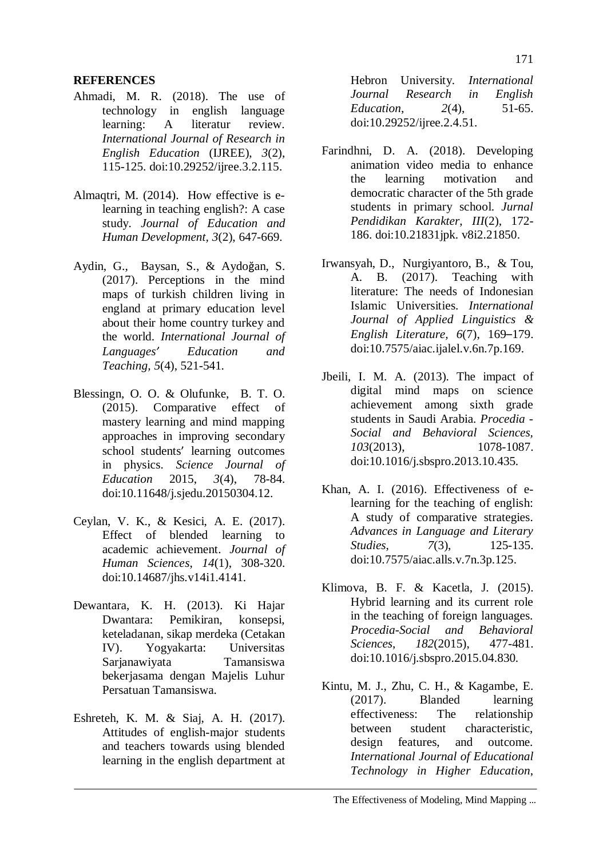## **REFERENCES**

- Ahmadi, M. R. (2018). The use of technology in english language learning: A literatur review. *International Journal of Research in English Education* (IJREE), *3*(2), 115-125. doi:10.29252/ijree.3.2.115.
- Almaqtri, M. (2014). How effective is elearning in teaching english?: A case study. *Journal of Education and Human Development, 3*(2), 647-669.
- Aydin, G., Baysan, S., & Aydoğan, S. (2017). Perceptions in the mind maps of turkish children living in england at primary education level about their home country turkey and the world. *International Journal of Languages' Education and Teaching, 5*(4), 521-541.
- Blessingn, O. O. & Olufunke, B. T. O. (2015). Comparative effect of mastery learning and mind mapping approaches in improving secondary school students' learning outcomes in physics. *Science Journal of Education* 2015, *3*(4), 78-84. doi:10.11648/j.sjedu.20150304.12.
- Ceylan, V. K., & Kesici, A. E. (2017). Effect of blended learning to academic achievement. *Journal of Human Sciences*, *14*(1), 308-320. doi:10.14687/jhs.v14i1.4141.
- Dewantara, K. H. (2013). Ki Hajar Dwantara: Pemikiran, konsepsi, keteladanan, sikap merdeka (Cetakan IV). Yogyakarta: Universitas Sarjanawiyata Tamansiswa bekerjasama dengan Majelis Luhur Persatuan Tamansiswa.
- Eshreteh, K. M. & Siaj, A. H. (2017). Attitudes of english-major students and teachers towards using blended learning in the english department at

Hebron University. *International Journal Research in English Education*, *2*(4), 51-65. doi:10.29252/ijree.2.4.51.

- Farindhni, D. A. (2018). Developing animation video media to enhance the learning motivation and democratic character of the 5th grade students in primary school. *Jurnal Pendidikan Karakter*, *III*(2)*,* 172- 186. doi:10.21831jpk. v8i2.21850.
- Irwansyah, D., Nurgiyantoro, B., & Tou, A. B. (2017). Teaching with literature: The needs of Indonesian Islamic Universities. *International Journal of Applied Linguistics & English Literature, 6*(7), 169–179. doi:10.7575/aiac.ijalel.v.6n.7p.169.
- Jbeili, I. M. A. (2013). The impact of digital mind maps on science achievement among sixth grade students in Saudi Arabia. *Procedia - Social and Behavioral Sciences, 103*(2013), 1078-1087. doi:10.1016/j.sbspro.2013.10.435.
- Khan, A. I. (2016). Effectiveness of elearning for the teaching of english: A study of comparative strategies. *Advances in Language and Literary Studies*, *7*(3), 125-135. doi:10.7575/aiac.alls.v.7n.3p.125.
- Klimova, B. F. & Kacetla, J. (2015). Hybrid learning and its current role in the teaching of foreign languages. *Procedia-Social and Behavioral Sciences*, *182*(2015), 477-481. doi:10.1016/j.sbspro.2015.04.830.
- Kintu, M. J., Zhu, C. H., & Kagambe, E. (2017). Blanded learning effectiveness: The relationship between student characteristic, design features, and outcome*. International Journal of Educational Technology in Higher Education*,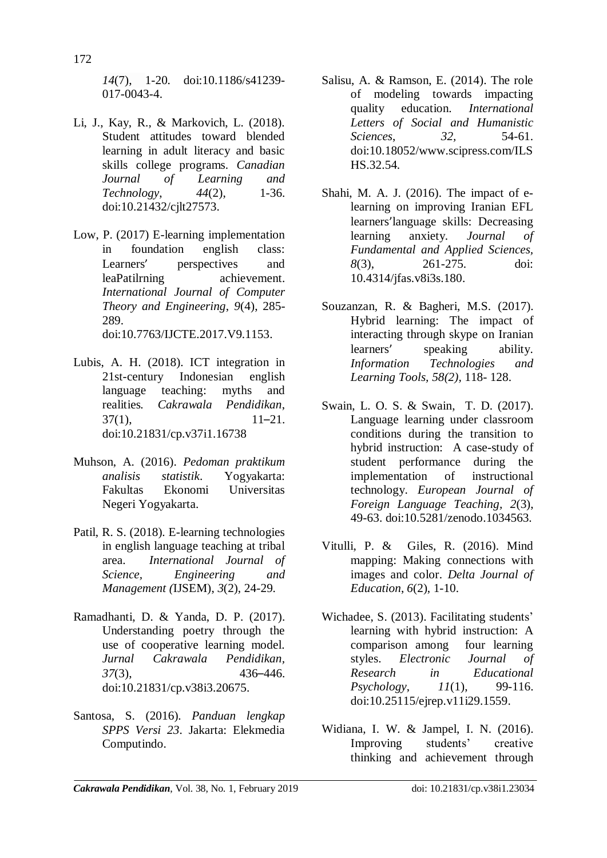*14*(7), 1-20. doi:10.1186/s41239- 017-0043-4.

- Li, J., Kay, R., & Markovich, L. (2018). Student attitudes toward blended learning in adult literacy and basic skills college programs. *Canadian Journal of Learning and Technology*, *44*(2), 1-36. doi[:10.21432/cjlt27573.](http://dx.doi.org/10.21432/cjlt27573)
- Low, P. (2017) E-learning implementation in foundation english class: Learners' perspectives and leaPatilrning achievement. *International Journal of Computer Theory and Engineering*, *9*(4), 285- 289. doi:10.7763/IJCTE.2017.V9.1153.
- Lubis, A. H. (2018). ICT integration in 21st-century Indonesian english language teaching: myths and realities*. Cakrawala Pendidikan*,  $37(1)$ , 11–21. doi[:10.21831/cp.v37i1.16738](http://dx.doi.org/10.21831/cp.v37i1.16738)
- Muhson, A. (2016). *Pedoman praktikum analisis statistik*. Yogyakarta: Fakultas Ekonomi Universitas Negeri Yogyakarta.
- Patil, R. S. (2018). E-learning technologies in english language teaching at tribal area. *International Journal of Science, Engineering and Management (*IJSEM), *3*(2), 24-29.
- Ramadhanti, D. & Yanda, D. P. (2017). Understanding poetry through the use of cooperative learning model. *Jurnal Cakrawala Pendidikan, 37*(3), 436–446. doi[:10.21831/cp.v38i3.20675.](http://dx.doi.org/10.21831/cp.v38i3.20675)
- Santosa, S. (2016). *Panduan lengkap SPPS Versi 23*. Jakarta: Elekmedia Computindo.
- Salisu, A. & Ramson, E. (2014). The role of modeling towards impacting quality education. *International Letters of Social and Humanistic Sciences*, *32,* 54-61. doi:10.18052/www.scipress.com/ILS HS.32.54.
- Shahi, M. A. J. (2016). The impact of elearning on improving Iranian EFL learners'language skills: Decreasing learning anxiety. *Journal of Fundamental and Applied Sciences, 8*(3), 261-275. doi: [10.4314/jfas.v8i3s.180.](http://dx.doi.org/10.4314/jfas.v8i3s.180)
- Souzanzan, R. & Bagheri, M.S. (2017). Hybrid learning: The impact of interacting through skype on Iranian learners' speaking ability. *Information Technologies and Learning Tools, 58(2),* 118- 128.
- Swain, L. O. S. & Swain, T. D. (2017). Language learning under classroom conditions during the transition to hybrid instruction: A case-study of student performance during the implementation of instructional technology. *European Journal of Foreign Language Teaching, 2*(3), 49-63. doi:10.5281/zenodo.1034563.
- Vitulli, P. & Giles, R. (2016). Mind mapping: Making connections with images and color. *Delta Journal of Education*, *6*(2), 1-10.
- Wichadee, S. (2013). Facilitating students' learning with hybrid instruction: A comparison among four learning styles. *Electronic Journal of Research in Educational Psychology*, *11*(1), 99-116. doi[:10.25115/ejrep.v11i29.1559.](http://dx.doi.org/10.25115/ejrep.v11i29.1559)
- Widiana, I. W. & Jampel, I. N. (2016). Improving students' creative thinking and achievement through